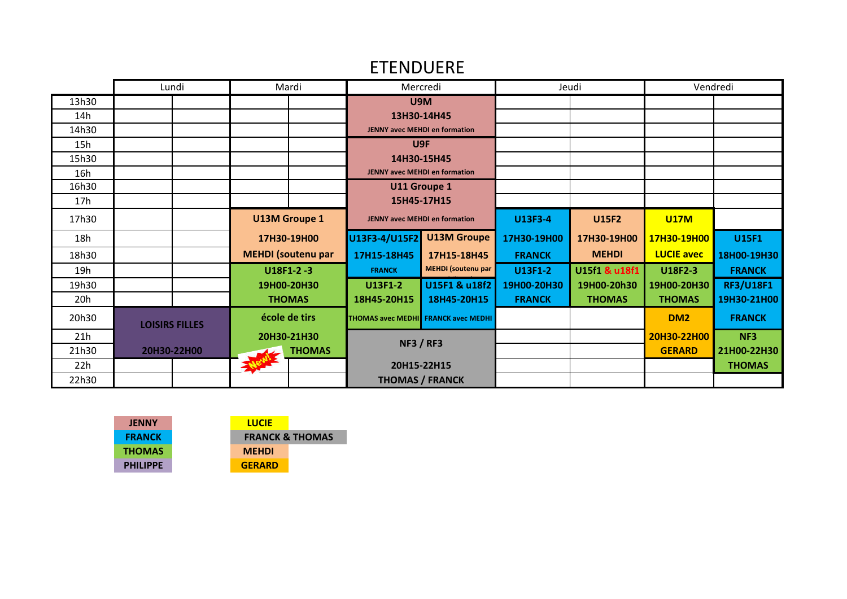## ETENDUERE

|                 | Lundi                 | Mardi                     | Mercredi                                   |                           | Jeudi          |               |                   | Vendredi         |
|-----------------|-----------------------|---------------------------|--------------------------------------------|---------------------------|----------------|---------------|-------------------|------------------|
| 13h30           |                       |                           | U9M                                        |                           |                |               |                   |                  |
| 14h             |                       |                           | 13H30-14H45                                |                           |                |               |                   |                  |
| 14h30           |                       |                           | <b>JENNY avec MEHDI en formation</b>       |                           |                |               |                   |                  |
| 15h             |                       |                           | U <sub>9F</sub>                            |                           |                |               |                   |                  |
| 15h30           |                       |                           | 14H30-15H45                                |                           |                |               |                   |                  |
| 16h             |                       |                           | <b>JENNY avec MEHDI en formation</b>       |                           |                |               |                   |                  |
| 16h30           |                       |                           | U11 Groupe 1                               |                           |                |               |                   |                  |
| 17h             |                       |                           | 15H45-17H15                                |                           |                |               |                   |                  |
| 17h30           |                       | <b>U13M Groupe 1</b>      | <b>JENNY avec MEHDI en formation</b>       |                           | U13F3-4        | <b>U15F2</b>  | <b>U17M</b>       |                  |
| 18h             |                       | 17H30-19H00               | U13F3-4/U15F2                              | <b>U13M Groupe</b>        | 17H30-19H00    | 17H30-19H00   | 17H30-19H00       | <b>U15F1</b>     |
| 18h30           |                       | <b>MEHDI</b> (soutenu par | 17H15-18H45                                | 17H15-18H45               | <b>FRANCK</b>  | <b>MEHDI</b>  | <b>LUCIE avec</b> | 18H00-19H30      |
| 19h             |                       | $U18F1-2-3$               | <b>FRANCK</b>                              | <b>MEHDI</b> (soutenu par | <b>U13F1-2</b> | U15f1 & u18f1 | U18F2-3           | <b>FRANCK</b>    |
| 19h30           |                       | 19H00-20H30               | <b>U13F1-2</b>                             | U15F1 & u18f2             | 19H00-20H30    | 19H00-20h30   | 19H00-20H30       | <b>RF3/U18F1</b> |
| 20 <sub>h</sub> |                       | <b>THOMAS</b>             | 18H45-20H15                                | 18H45-20H15               | <b>FRANCK</b>  | <b>THOMAS</b> | <b>THOMAS</b>     | 19H30-21H00      |
| 20h30           | <b>LOISIRS FILLES</b> | école de tirs             | <b>THOMAS avec MEDHI</b> FRANCK avec MEDHI |                           |                |               | DM <sub>2</sub>   | <b>FRANCK</b>    |
| 21h             |                       | 20H30-21H30               | <b>NF3 / RF3</b>                           |                           |                |               | 20H30-22H00       | NF3              |
| 21h30           | 20H30-22H00           | <b>THOMAS</b>             |                                            |                           |                |               | <b>GERARD</b>     | 21H00-22H30      |
| 22h             |                       |                           | 20H15-22H15                                |                           |                |               |                   | <b>THOMAS</b>    |
| 22h30           |                       |                           | <b>THOMAS / FRANCK</b>                     |                           |                |               |                   |                  |

| <b>JENNY</b>    | <b>LUCIE</b>  |                            |
|-----------------|---------------|----------------------------|
| <b>FRANCK</b>   |               | <b>FRANCK &amp; THOMAS</b> |
| <b>THOMAS</b>   | <b>MEHDI</b>  |                            |
| <b>PHILIPPF</b> | <b>GERARD</b> |                            |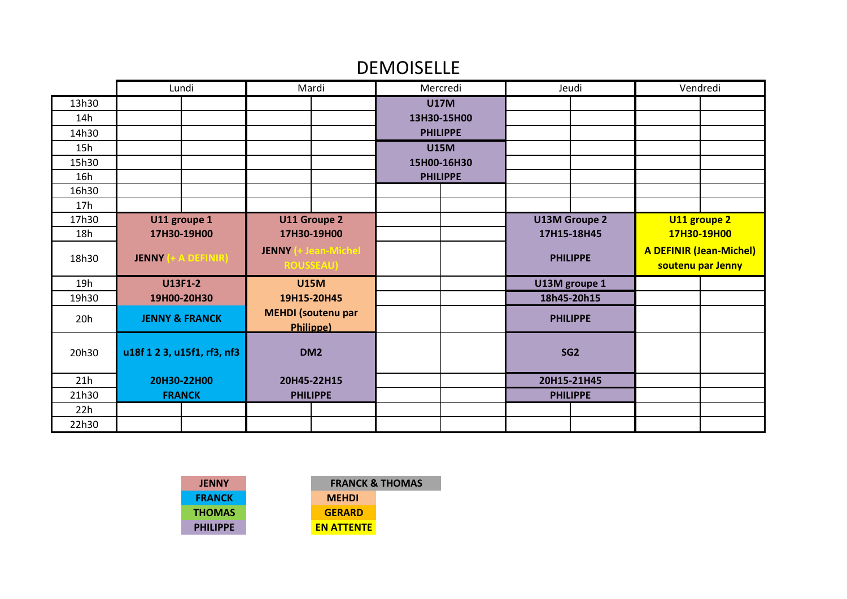## DEMOISELLE

|       | Lundi                            | Mardi                                              | Mercredi        | Jeudi                | Vendredi                                            |  |
|-------|----------------------------------|----------------------------------------------------|-----------------|----------------------|-----------------------------------------------------|--|
| 13h30 |                                  |                                                    | <b>U17M</b>     |                      |                                                     |  |
| 14h   |                                  |                                                    | 13H30-15H00     |                      |                                                     |  |
| 14h30 |                                  |                                                    | <b>PHILIPPE</b> |                      |                                                     |  |
| 15h   |                                  |                                                    | <b>U15M</b>     |                      |                                                     |  |
| 15h30 |                                  |                                                    | 15H00-16H30     |                      |                                                     |  |
| 16h   |                                  |                                                    | <b>PHILIPPE</b> |                      |                                                     |  |
| 16h30 |                                  |                                                    |                 |                      |                                                     |  |
| 17h   |                                  |                                                    |                 |                      |                                                     |  |
| 17h30 | U11 groupe 1                     | U11 Groupe 2                                       |                 | <b>U13M Groupe 2</b> | U11 groupe 2                                        |  |
| 18h   | 17H30-19H00                      | 17H30-19H00                                        |                 | 17H15-18H45          | 17H30-19H00                                         |  |
| 18h30 | + A DEFINIR)<br><b>JENNY</b>     | (+ Jean-Michel<br><b>JENNY</b><br><b>ROUSSEAU)</b> |                 | <b>PHILIPPE</b>      | <b>A DEFINIR (Jean-Michel)</b><br>soutenu par Jenny |  |
| 19h   | <b>U13F1-2</b>                   | <b>U15M</b>                                        |                 | U13M groupe 1        |                                                     |  |
| 19h30 | 19H00-20H30                      | 19H15-20H45                                        |                 | 18h45-20h15          |                                                     |  |
| 20h   | <b>JENNY &amp; FRANCK</b>        | <b>MEHDI</b> (soutenu par<br><b>Philippe)</b>      |                 | <b>PHILIPPE</b>      |                                                     |  |
| 20h30 | u18f 1 2 3, u15f1, rf3, nf3      | DM <sub>2</sub>                                    |                 | SG <sub>2</sub>      |                                                     |  |
| 21h   | 20H30-22H00                      | 20H45-22H15                                        |                 | 20H15-21H45          |                                                     |  |
| 21h30 | <b>PHILIPPE</b><br><b>FRANCK</b> |                                                    |                 | <b>PHILIPPE</b>      |                                                     |  |
| 22h   |                                  |                                                    |                 |                      |                                                     |  |
| 22h30 |                                  |                                                    |                 |                      |                                                     |  |

| <b>JENNY</b>    |  |
|-----------------|--|
| <b>FRANCK</b>   |  |
| <b>THOMAS</b>   |  |
| <b>PHILIPPE</b> |  |
|                 |  |

**MEHDI GERARD FRANCK & THOMAS**

**EN ATTENTE**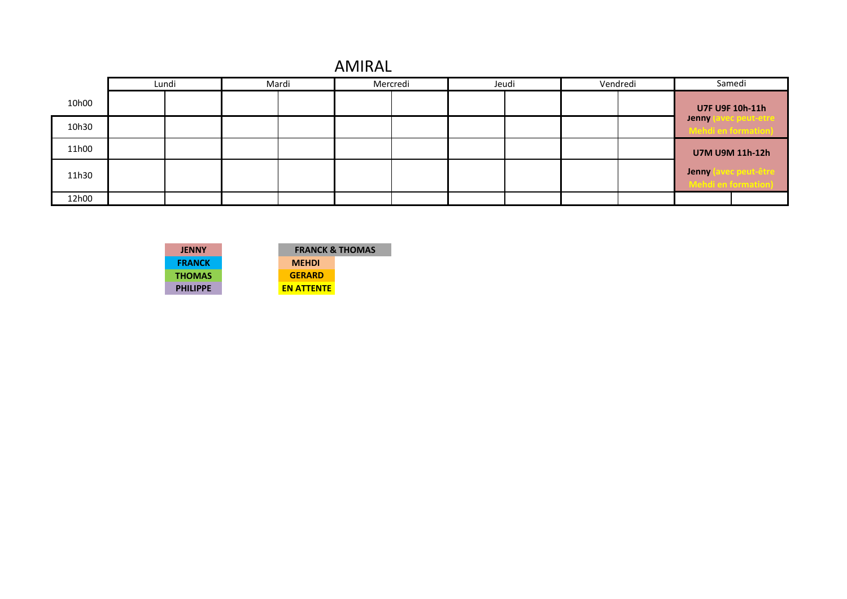|  | <b>AMIRAL</b> |
|--|---------------|
|--|---------------|

|       | Lundi | Mardi | Mercredi | Jeudi | Vendredi |              | Samedi                               |
|-------|-------|-------|----------|-------|----------|--------------|--------------------------------------|
| 10h00 |       |       |          |       |          |              | U7F U9F 10h-11h                      |
| 10h30 |       |       |          |       |          | <b>Jenny</b> | avec peut-etre<br>Iehdi en formation |
| 11h00 |       |       |          |       |          |              | U7M U9M 11h-12h                      |
| 11h30 |       |       |          |       |          | <b>Jenny</b> | ec peut-être l<br>lebdi en formation |
| 12h00 |       |       |          |       |          |              |                                      |

| <b>JENNY</b>    | <b>FRANCK</b>     |
|-----------------|-------------------|
| <b>FRANCK</b>   | <b>MEHDI</b>      |
| <b>THOMAS</b>   | <b>GERARD</b>     |
| <b>PHILIPPE</b> | <b>EN ATTENTE</b> |

|               | <b>FRANCK &amp; THOMAS</b> |
|---------------|----------------------------|
| <b>MEHDI</b>  |                            |
| <b>GERARD</b> |                            |